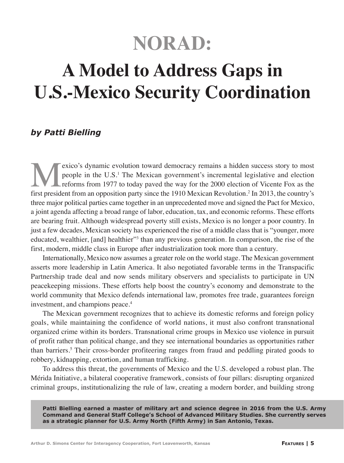# **NORAD:**

## **A Model to Address Gaps in U.S.-Mexico Security Coordination**

## *by Patti Bielling*

Exico's dynamic evolution toward democracy remains a hidden success story to most<br>people in the U.S.<sup>1</sup> The Mexican government's incremental legislative and election<br>reforms from 1977 to today paved the way for the 2000 el people in the U.S.<sup>1</sup> The Mexican government's incremental legislative and election reforms from 1977 to today paved the way for the 2000 election of Vicente Fox as the first president from an opposition party since the 1910 Mexican Revolution.2 In 2013, the country's three major political parties came together in an unprecedented move and signed the Pact for Mexico, a joint agenda affecting a broad range of labor, education, tax, and economic reforms. These efforts are bearing fruit. Although widespread poverty still exists, Mexico is no longer a poor country. In just a few decades, Mexican society has experienced the rise of a middle class that is "younger, more educated, wealthier, [and] healthier"<sup>3</sup> than any previous generation. In comparison, the rise of the first, modern, middle class in Europe after industrialization took more than a century.

Internationally, Mexico now assumes a greater role on the world stage. The Mexican government asserts more leadership in Latin America. It also negotiated favorable terms in the Transpacific Partnership trade deal and now sends military observers and specialists to participate in UN peacekeeping missions. These efforts help boost the country's economy and demonstrate to the world community that Mexico defends international law, promotes free trade, guarantees foreign investment, and champions peace.<sup>4</sup>

The Mexican government recognizes that to achieve its domestic reforms and foreign policy goals, while maintaining the confidence of world nations, it must also confront transnational organized crime within its borders. Transnational crime groups in Mexico use violence in pursuit of profit rather than political change, and they see international boundaries as opportunities rather than barriers.<sup>5</sup> Their cross-border profiteering ranges from fraud and peddling pirated goods to robbery, kidnapping, extortion, and human trafficking.

To address this threat, the governments of Mexico and the U.S. developed a robust plan. The Mérida Initiative, a bilateral cooperative framework, consists of four pillars: disrupting organized criminal groups, institutionalizing the rule of law, creating a modern border, and building strong

**Patti Bielling earned a master of military art and science degree in 2016 from the U.S. Army Command and General Staff College's School of Advanced Military Studies. She currently serves as a strategic planner for U.S. Army North (Fifth Army) in San Antonio, Texas.**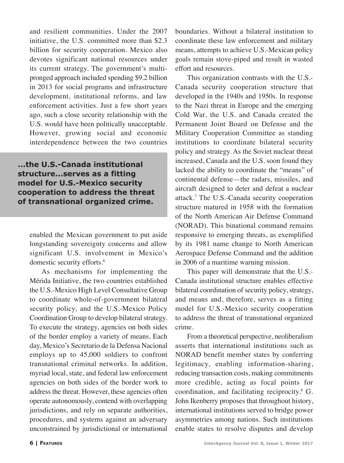and resilient communities. Under the 2007 initiative, the U.S. committed more than \$2.3 billion for security cooperation. Mexico also devotes significant national resources under its current strategy. The government's multipronged approach included spending \$9.2 billion in 2013 for social programs and infrastructure development, institutional reforms, and law enforcement activities. Just a few short years ago, such a close security relationship with the U.S. would have been politically unacceptable. However, growing social and economic interdependence between the two countries

**...the U.S.-Canada institutional structure...serves as a fitting model for U.S.-Mexico security cooperation to address the threat of transnational organized crime.**

enabled the Mexican government to put aside longstanding sovereignty concerns and allow significant U.S. involvement in Mexico's domestic security efforts.<sup>6</sup>

As mechanisms for implementing the Mérida Initiative, the two countries established the U.S.-Mexico High Level Consultative Group to coordinate whole-of-government bilateral security policy, and the U.S.-Mexico Policy Coordination Group to develop bilateral strategy. To execute the strategy, agencies on both sides of the border employ a variety of means. Each day, Mexico's Secretario de la Defensa Nacional employs up to 45,000 soldiers to confront transnational criminal networks. In addition, myriad local, state, and federal law enforcement agencies on both sides of the border work to address the threat. However, these agencies often operate autonomously, contend with overlapping jurisdictions, and rely on separate authorities, procedures, and systems against an adversary unconstrained by jurisdictional or international boundaries. Without a bilateral institution to coordinate these law enforcement and military means, attempts to achieve U.S.-Mexican policy goals remain stove-piped and result in wasted effort and resources.

This organization contrasts with the U.S.- Canada security cooperation structure that developed in the 1940s and 1950s. In response to the Nazi threat in Europe and the emerging Cold War, the U.S. and Canada created the Permanent Joint Board on Defense and the Military Cooperation Committee as standing institutions to coordinate bilateral security policy and strategy. As the Soviet nuclear threat increased, Canada and the U.S. soon found they lacked the ability to coordinate the "means" of continental defense—the radars, missiles, and aircraft designed to deter and defeat a nuclear attack.7 The U.S.-Canada security cooperation structure matured in 1958 with the formation of the North American Air Defense Command (NORAD). This binational command remains responsive to emerging threats, as exemplified by its 1981 name change to North American Aerospace Defense Command and the addition in 2006 of a maritime warning mission.

This paper will demonstrate that the U.S.- Canada institutional structure enables effective bilateral coordination of security policy, strategy, and means and, therefore, serves as a fitting model for U.S.-Mexico security cooperation to address the threat of transnational organized crime.

From a theoretical perspective, neoliberalism asserts that international institutions such as NORAD benefit member states by conferring legitimacy, enabling information-sharing, reducing transaction costs, making commitments more credible, acting as focal points for coordination, and facilitating reciprocity.8 G. John Ikenberry proposes that throughout history, international institutions served to bridge power asymmetries among nations. Such institutions enable states to resolve disputes and develop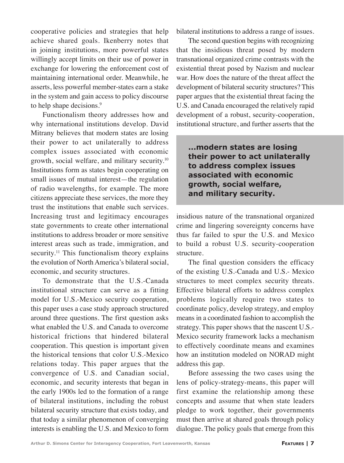cooperative policies and strategies that help achieve shared goals. Ikenberry notes that in joining institutions, more powerful states willingly accept limits on their use of power in exchange for lowering the enforcement cost of maintaining international order. Meanwhile, he asserts, less powerful member-states earn a stake in the system and gain access to policy discourse to help shape decisions.<sup>9</sup>

Functionalism theory addresses how and why international institutions develop. David Mitrany believes that modern states are losing their power to act unilaterally to address complex issues associated with economic growth, social welfare, and military security.<sup>10</sup> Institutions form as states begin cooperating on small issues of mutual interest—the regulation of radio wavelengths, for example. The more citizens appreciate these services, the more they trust the institutions that enable such services. Increasing trust and legitimacy encourages state governments to create other international institutions to address broader or more sensitive interest areas such as trade, immigration, and security.<sup>11</sup> This functionalism theory explains the evolution of North America's bilateral social, economic, and security structures.

To demonstrate that the U.S.-Canada institutional structure can serve as a fitting model for U.S.-Mexico security cooperation, this paper uses a case study approach structured around three questions. The first question asks what enabled the U.S. and Canada to overcome historical frictions that hindered bilateral cooperation. This question is important given the historical tensions that color U.S.-Mexico relations today. This paper argues that the convergence of U.S. and Canadian social, economic, and security interests that began in the early 1900s led to the formation of a range of bilateral institutions, including the robust bilateral security structure that exists today, and that today a similar phenomenon of converging interests is enabling the U.S. and Mexico to form bilateral institutions to address a range of issues.

The second question begins with recognizing that the insidious threat posed by modern transnational organized crime contrasts with the existential threat posed by Nazism and nuclear war. How does the nature of the threat affect the development of bilateral security structures? This paper argues that the existential threat facing the U.S. and Canada encouraged the relatively rapid development of a robust, security-cooperation, institutional structure, and further asserts that the

**...modern states are losing their power to act unilaterally to address complex issues associated with economic growth, social welfare, and military security.**

insidious nature of the transnational organized crime and lingering sovereignty concerns have thus far failed to spur the U.S. and Mexico to build a robust U.S. security-cooperation structure.

The final question considers the efficacy of the existing U.S.-Canada and U.S.- Mexico structures to meet complex security threats. Effective bilateral efforts to address complex problems logically require two states to coordinate policy, develop strategy, and employ means in a coordinated fashion to accomplish the strategy. This paper shows that the nascent U.S.- Mexico security framework lacks a mechanism to effectively coordinate means and examines how an institution modeled on NORAD might address this gap.

Before assessing the two cases using the lens of policy-strategy-means, this paper will first examine the relationship among these concepts and assume that when state leaders pledge to work together, their governments must then arrive at shared goals through policy dialogue. The policy goals that emerge from this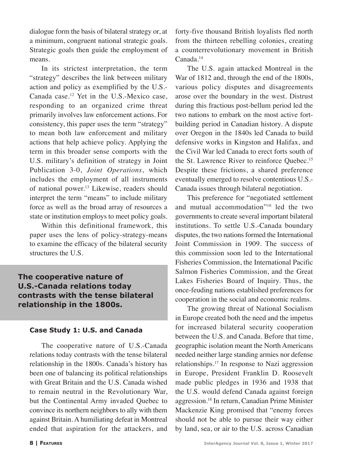dialogue form the basis of bilateral strategy or, at a minimum, congruent national strategic goals. Strategic goals then guide the employment of means.

In its strictest interpretation, the term "strategy" describes the link between military action and policy as exemplified by the U.S.- Canada case.12 Yet in the U.S.-Mexico case, responding to an organized crime threat primarily involves law enforcement actions. For consistency, this paper uses the term "strategy" to mean both law enforcement and military actions that help achieve policy. Applying the term in this broader sense comports with the U.S. military's definition of strategy in Joint Publication 3-0, *Joint Operations*, which includes the employment of all instruments of national power.<sup>13</sup> Likewise, readers should interpret the term "means" to include military force as well as the broad array of resources a state or institution employs to meet policy goals.

Within this definitional framework, this paper uses the lens of policy-strategy-means to examine the efficacy of the bilateral security structures the U.S.

### **The cooperative nature of U.S.-Canada relations today contrasts with the tense bilateral relationship in the 1800s.**

#### **Case Study 1: U.S. and Canada**

The cooperative nature of U.S.-Canada relations today contrasts with the tense bilateral relationship in the 1800s. Canada's history has been one of balancing its political relationships with Great Britain and the U.S. Canada wished to remain neutral in the Revolutionary War, but the Continental Army invaded Quebec to convince its northern neighbors to ally with them against Britain. A humiliating defeat in Montreal ended that aspiration for the attackers, and

forty-five thousand British loyalists fled north from the thirteen rebelling colonies, creating a counterrevolutionary movement in British Canada.<sup>14</sup>

The U.S. again attacked Montreal in the War of 1812 and, through the end of the 1800s, various policy disputes and disagreements arose over the boundary in the west. Distrust during this fractious post-bellum period led the two nations to embark on the most active fortbuilding period in Canadian history. A dispute over Oregon in the 1840s led Canada to build defensive works in Kingston and Halifax, and the Civil War led Canada to erect forts south of the St. Lawrence River to reinforce Quebec.15 Despite these frictions, a shared preference eventually emerged to resolve contentious U.S.- Canada issues through bilateral negotiation.

This preference for "negotiated settlement and mutual accommodation"16 led the two governments to create several important bilateral institutions. To settle U.S.-Canada boundary disputes, the two nations formed the International Joint Commission in 1909. The success of this commission soon led to the International Fisheries Commission, the International Pacific Salmon Fisheries Commission, and the Great Lakes Fisheries Board of Inquiry. Thus, the once-feuding nations established preferences for cooperation in the social and economic realms.

The growing threat of National Socialism in Europe created both the need and the impetus for increased bilateral security cooperation between the U.S. and Canada. Before that time, geographic isolation meant the North Americans needed neither large standing armies nor defense relationships.17 In response to Nazi aggression in Europe, President Franklin D. Roosevelt made public pledges in 1936 and 1938 that the U.S. would defend Canada against foreign aggression.18 In return, Canadian Prime Minister Mackenzie King promised that "enemy forces should not be able to pursue their way either by land, sea, or air to the U.S. across Canadian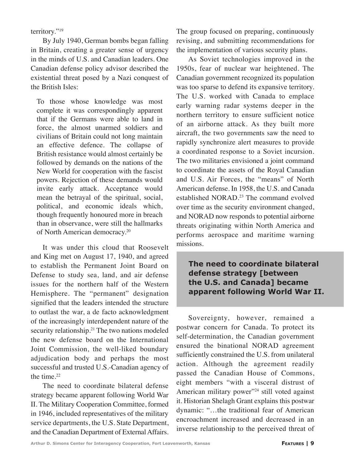territory."19

By July 1940, German bombs began falling in Britain, creating a greater sense of urgency in the minds of U.S. and Canadian leaders. One Canadian defense policy advisor described the existential threat posed by a Nazi conquest of the British Isles:

To those whose knowledge was most complete it was correspondingly apparent that if the Germans were able to land in force, the almost unarmed soldiers and civilians of Britain could not long maintain an effective defence. The collapse of British resistance would almost certainly be followed by demands on the nations of the New World for cooperation with the fascist powers. Rejection of these demands would invite early attack. Acceptance would mean the betrayal of the spiritual, social, political, and economic ideals which, though frequently honoured more in breach than in observance, were still the hallmarks of North American democracy.20

It was under this cloud that Roosevelt and King met on August 17, 1940, and agreed to establish the Permanent Joint Board on Defense to study sea, land, and air defense issues for the northern half of the Western Hemisphere. The "permanent" designation signified that the leaders intended the structure to outlast the war, a de facto acknowledgment of the increasingly interdependent nature of the security relationship.<sup>21</sup> The two nations modeled the new defense board on the International Joint Commission, the well-liked boundary adjudication body and perhaps the most successful and trusted U.S.-Canadian agency of the time. $22$ 

The need to coordinate bilateral defense strategy became apparent following World War II. The Military Cooperation Committee, formed in 1946, included representatives of the military service departments, the U.S. State Department, and the Canadian Department of External Affairs. The group focused on preparing, continuously revising, and submitting recommendations for the implementation of various security plans.

As Soviet technologies improved in the 1950s, fear of nuclear war heightened. The Canadian government recognized its population was too sparse to defend its expansive territory. The U.S. worked with Canada to emplace early warning radar systems deeper in the northern territory to ensure sufficient notice of an airborne attack. As they built more aircraft, the two governments saw the need to rapidly synchronize alert measures to provide a coordinated response to a Soviet incursion. The two militaries envisioned a joint command to coordinate the assets of the Royal Canadian and U.S. Air Forces, the "means" of North American defense. In 1958, the U.S. and Canada established NORAD.<sup>23</sup> The command evolved over time as the security environment changed, and NORAD now responds to potential airborne threats originating within North America and performs aerospace and maritime warning missions.

**The need to coordinate bilateral defense strategy [between the U.S. and Canada] became apparent following World War II.**

Sovereignty, however, remained a postwar concern for Canada. To protect its self-determination, the Canadian government ensured the binational NORAD agreement sufficiently constrained the U.S. from unilateral action. Although the agreement readily passed the Canadian House of Commons, eight members "with a visceral distrust of American military power"<sup>24</sup> still voted against it. Historian Shelagh Grant explains this postwar dynamic: "…the traditional fear of American encroachment increased and decreased in an inverse relationship to the perceived threat of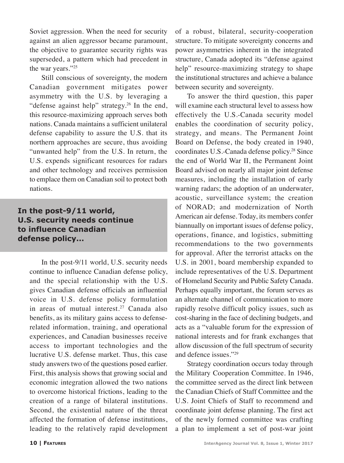Soviet aggression. When the need for security against an alien aggressor became paramount, the objective to guarantee security rights was superseded, a pattern which had precedent in the war years."25

Still conscious of sovereignty, the modern Canadian government mitigates power asymmetry with the U.S. by leveraging a "defense against help" strategy.<sup>26</sup> In the end, this resource-maximizing approach serves both nations. Canada maintains a sufficient unilateral defense capability to assure the U.S. that its northern approaches are secure, thus avoiding "unwanted help" from the U.S. In return, the U.S. expends significant resources for radars and other technology and receives permission to emplace them on Canadian soil to protect both nations.

## **In the post-9/11 world, U.S. security needs continue to influence Canadian defense policy...**

In the post-9/11 world, U.S. security needs continue to influence Canadian defense policy, and the special relationship with the U.S. gives Canadian defense officials an influential voice in U.S. defense policy formulation in areas of mutual interest.<sup>27</sup> Canada also benefits, as its military gains access to defenserelated information, training, and operational experiences, and Canadian businesses receive access to important technologies and the lucrative U.S. defense market. Thus, this case study answers two of the questions posed earlier. First, this analysis shows that growing social and economic integration allowed the two nations to overcome historical frictions, leading to the creation of a range of bilateral institutions. Second, the existential nature of the threat affected the formation of defense institutions, leading to the relatively rapid development of a robust, bilateral, security-cooperation structure. To mitigate sovereignty concerns and power asymmetries inherent in the integrated structure, Canada adopted its "defense against help" resource-maximizing strategy to shape the institutional structures and achieve a balance between security and sovereignty.

To answer the third question, this paper will examine each structural level to assess how effectively the U.S.-Canada security model enables the coordination of security policy, strategy, and means. The Permanent Joint Board on Defense, the body created in 1940, coordinates U.S.-Canada defense policy.28 Since the end of World War II, the Permanent Joint Board advised on nearly all major joint defense measures, including the installation of early warning radars; the adoption of an underwater, acoustic, surveillance system; the creation of NORAD; and modernization of North American air defense. Today, its members confer biannually on important issues of defense policy, operations, finance, and logistics, submitting recommendations to the two governments for approval. After the terrorist attacks on the U.S. in 2001, board membership expanded to include representatives of the U.S. Department of Homeland Security and Public Safety Canada. Perhaps equally important, the forum serves as an alternate channel of communication to more rapidly resolve difficult policy issues, such as cost-sharing in the face of declining budgets, and acts as a "valuable forum for the expression of national interests and for frank exchanges that allow discussion of the full spectrum of security and defence issues."29

Strategy coordination occurs today through the Military Cooperation Committee. In 1946, the committee served as the direct link between the Canadian Chiefs of Staff Committee and the U.S. Joint Chiefs of Staff to recommend and coordinate joint defense planning. The first act of the newly formed committee was crafting a plan to implement a set of post-war joint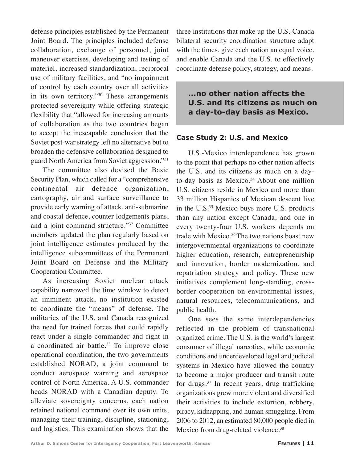defense principles established by the Permanent Joint Board. The principles included defense collaboration, exchange of personnel, joint maneuver exercises, developing and testing of materiel, increased standardization, reciprocal use of military facilities, and "no impairment of control by each country over all activities in its own territory."<sup>30</sup> These arrangements protected sovereignty while offering strategic flexibility that "allowed for increasing amounts of collaboration as the two countries began to accept the inescapable conclusion that the Soviet post-war strategy left no alternative but to broaden the defensive collaboration designed to guard North America from Soviet aggression."31

The committee also devised the Basic Security Plan, which called for a "comprehensive continental air defence organization, cartography, air and surface surveillance to provide early warning of attack, anti-submarine and coastal defence, counter-lodgements plans, and a joint command structure."32 Committee members updated the plan regularly based on joint intelligence estimates produced by the intelligence subcommittees of the Permanent Joint Board on Defense and the Military Cooperation Committee.

As increasing Soviet nuclear attack capability narrowed the time window to detect an imminent attack, no institution existed to coordinate the "means" of defense. The militaries of the U.S. and Canada recognized the need for trained forces that could rapidly react under a single commander and fight in a coordinated air battle.<sup>33</sup> To improve close operational coordination, the two governments established NORAD, a joint command to conduct aerospace warning and aerospace control of North America. A U.S. commander heads NORAD with a Canadian deputy. To alleviate sovereignty concerns, each nation retained national command over its own units, managing their training, discipline, stationing, and logistics. This examination shows that the

three institutions that make up the U.S.-Canada bilateral security coordination structure adapt with the times, give each nation an equal voice, and enable Canada and the U.S. to effectively coordinate defense policy, strategy, and means.

**...no other nation affects the U.S. and its citizens as much on a day-to-day basis as Mexico.**

#### **Case Study 2: U.S. and Mexico**

U.S.-Mexico interdependence has grown to the point that perhaps no other nation affects the U.S. and its citizens as much on a dayto-day basis as Mexico.<sup>34</sup> About one million U.S. citizens reside in Mexico and more than 33 million Hispanics of Mexican descent live in the U.S.<sup>35</sup> Mexico buys more U.S. products than any nation except Canada, and one in every twenty-four U.S. workers depends on trade with Mexico.<sup>36</sup> The two nations boast new intergovernmental organizations to coordinate higher education, research, entrepreneurship and innovation, border modernization, and repatriation strategy and policy. These new initiatives complement long-standing, crossborder cooperation on environmental issues, natural resources, telecommunications, and public health.

One sees the same interdependencies reflected in the problem of transnational organized crime. The U.S. is the world's largest consumer of illegal narcotics, while economic conditions and underdeveloped legal and judicial systems in Mexico have allowed the country to become a major producer and transit route for drugs.37 In recent years, drug trafficking organizations grew more violent and diversified their activities to include extortion, robbery, piracy, kidnapping, and human smuggling. From 2006 to 2012, an estimated 80,000 people died in Mexico from drug-related violence.<sup>38</sup>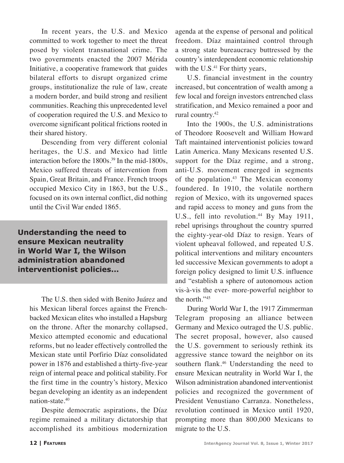In recent years, the U.S. and Mexico committed to work together to meet the threat posed by violent transnational crime. The two governments enacted the 2007 Mérida Initiative, a cooperative framework that guides bilateral efforts to disrupt organized crime groups, institutionalize the rule of law, create a modern border, and build strong and resilient communities. Reaching this unprecedented level of cooperation required the U.S. and Mexico to overcome significant political frictions rooted in their shared history.

Descending from very different colonial heritages, the U.S. and Mexico had little interaction before the 1800s.<sup>39</sup> In the mid-1800s, Mexico suffered threats of intervention from Spain, Great Britain, and France. French troops occupied Mexico City in 1863, but the U.S., focused on its own internal conflict, did nothing until the Civil War ended 1865.

**Understanding the need to ensure Mexican neutrality in World War I, the Wilson administration abandoned interventionist policies...**

> The U.S. then sided with Benito Juárez and his Mexican liberal forces against the Frenchbacked Mexican elites who installed a Hapsburg on the throne. After the monarchy collapsed, Mexico attempted economic and educational reforms, but no leader effectively controlled the Mexican state until Porfirio Díaz consolidated power in 1876 and established a thirty-five-year reign of internal peace and political stability. For the first time in the country's history, Mexico began developing an identity as an independent nation-state.40

> Despite democratic aspirations, the Díaz regime remained a military dictatorship that accomplished its ambitious modernization

agenda at the expense of personal and political freedom. Díaz maintained control through a strong state bureaucracy buttressed by the country's interdependent economic relationship with the  $U.S.<sup>41</sup>$  For thirty years,

U.S. financial investment in the country increased, but concentration of wealth among a few local and foreign investors entrenched class stratification, and Mexico remained a poor and rural country.42

Into the 1900s, the U.S. administrations of Theodore Roosevelt and William Howard Taft maintained interventionist policies toward Latin America. Many Mexicans resented U.S. support for the Díaz regime, and a strong, anti-U.S. movement emerged in segments of the population. $43$  The Mexican economy foundered. In 1910, the volatile northern region of Mexico, with its ungoverned spaces and rapid access to money and guns from the U.S., fell into revolution.<sup>44</sup> By May 1911, rebel uprisings throughout the country spurred the eighty-year-old Díaz to resign. Years of violent upheaval followed, and repeated U.S. political interventions and military encounters led successive Mexican governments to adopt a foreign policy designed to limit U.S. influence and "establish a sphere of autonomous action vis-à-vis the ever- more-powerful neighbor to the north."45

During World War I, the 1917 Zimmerman Telegram proposing an alliance between Germany and Mexico outraged the U.S. public. The secret proposal, however, also caused the U.S. government to seriously rethink its aggressive stance toward the neighbor on its southern flank.<sup>46</sup> Understanding the need to ensure Mexican neutrality in World War I, the Wilson administration abandoned interventionist policies and recognized the government of President Venustiano Carranza. Nonetheless, revolution continued in Mexico until 1920, prompting more than 800,000 Mexicans to migrate to the U.S.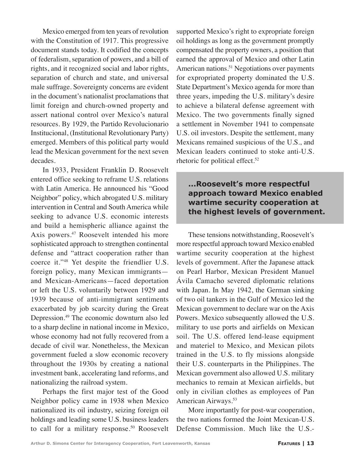Mexico emerged from ten years of revolution with the Constitution of 1917. This progressive document stands today. It codified the concepts of federalism, separation of powers, and a bill of rights, and it recognized social and labor rights, separation of church and state, and universal male suffrage. Sovereignty concerns are evident in the document's nationalist proclamations that limit foreign and church-owned property and assert national control over Mexico's natural resources. By 1929, the Partido Revolucionario Institucional, (Institutional Revolutionary Party) emerged. Members of this political party would lead the Mexican government for the next seven decades.

In 1933, President Franklin D. Roosevelt entered office seeking to reframe U.S. relations with Latin America. He announced his "Good Neighbor" policy, which abrogated U.S. military intervention in Central and South America while seeking to advance U.S. economic interests and build a hemispheric alliance against the Axis powers.<sup>47</sup> Roosevelt intended his more sophisticated approach to strengthen continental defense and "attract cooperation rather than coerce it."48 Yet despite the friendlier U.S. foreign policy, many Mexican immigrants and Mexican-Americans—faced deportation or left the U.S. voluntarily between 1929 and 1939 because of anti-immigrant sentiments exacerbated by job scarcity during the Great Depression.49 The economic downturn also led to a sharp decline in national income in Mexico, whose economy had not fully recovered from a decade of civil war. Nonetheless, the Mexican government fueled a slow economic recovery throughout the 1930s by creating a national investment bank, accelerating land reforms, and nationalizing the railroad system.

Perhaps the first major test of the Good Neighbor policy came in 1938 when Mexico nationalized its oil industry, seizing foreign oil holdings and leading some U.S. business leaders to call for a military response.<sup>50</sup> Roosevelt supported Mexico's right to expropriate foreign oil holdings as long as the government promptly compensated the property owners, a position that earned the approval of Mexico and other Latin American nations.<sup>51</sup> Negotiations over payments for expropriated property dominated the U.S. State Department's Mexico agenda for more than three years, impeding the U.S. military's desire to achieve a bilateral defense agreement with Mexico. The two governments finally signed a settlement in November 1941 to compensate U.S. oil investors. Despite the settlement, many Mexicans remained suspicious of the U.S., and Mexican leaders continued to stoke anti-U.S. rhetoric for political effect.<sup>52</sup>

## **...Roosevelt's more respectful approach toward Mexico enabled wartime security cooperation at the highest levels of government.**

These tensions notwithstanding, Roosevelt's more respectful approach toward Mexico enabled wartime security cooperation at the highest levels of government. After the Japanese attack on Pearl Harbor, Mexican President Manuel Ávila Camacho severed diplomatic relations with Japan. In May 1942, the German sinking of two oil tankers in the Gulf of Mexico led the Mexican government to declare war on the Axis Powers. Mexico subsequently allowed the U.S. military to use ports and airfields on Mexican soil. The U.S. offered lend-lease equipment and materiel to Mexico, and Mexican pilots trained in the U.S. to fly missions alongside their U.S. counterparts in the Philippines. The Mexican government also allowed U.S. military mechanics to remain at Mexican airfields, but only in civilian clothes as employees of Pan American Airways.53

More importantly for post-war cooperation, the two nations formed the Joint Mexican-U.S. Defense Commission. Much like the U.S.-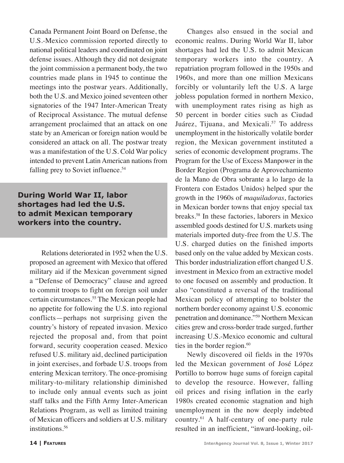Canada Permanent Joint Board on Defense, the U.S.-Mexico commission reported directly to national political leaders and coordinated on joint defense issues. Although they did not designate the joint commission a permanent body, the two countries made plans in 1945 to continue the meetings into the postwar years. Additionally, both the U.S. and Mexico joined seventeen other signatories of the 1947 Inter-American Treaty of Reciprocal Assistance. The mutual defense arrangement proclaimed that an attack on one state by an American or foreign nation would be considered an attack on all. The postwar treaty was a manifestation of the U.S. Cold War policy intended to prevent Latin American nations from falling prey to Soviet influence.<sup>54</sup>

## **During World War II, labor shortages had led the U.S. to admit Mexican temporary workers into the country.**

Relations deteriorated in 1952 when the U.S. proposed an agreement with Mexico that offered military aid if the Mexican government signed a "Defense of Democracy" clause and agreed to commit troops to fight on foreign soil under certain circumstances.55 The Mexican people had no appetite for following the U.S. into regional conflicts—perhaps not surprising given the country's history of repeated invasion. Mexico rejected the proposal and, from that point forward, security cooperation ceased. Mexico refused U.S. military aid, declined participation in joint exercises, and forbade U.S. troops from entering Mexican territory. The once-promising military-to-military relationship diminished to include only annual events such as joint staff talks and the Fifth Army Inter-American Relations Program, as well as limited training of Mexican officers and soldiers at U.S. military institutions.<sup>56</sup>

Changes also ensued in the social and economic realms. During World War II, labor shortages had led the U.S. to admit Mexican temporary workers into the country. A repatriation program followed in the 1950s and 1960s, and more than one million Mexicans forcibly or voluntarily left the U.S. A large jobless population formed in northern Mexico, with unemployment rates rising as high as 50 percent in border cities such as Ciudad Juárez, Tijuana, and Mexicali.<sup>57</sup> To address unemployment in the historically volatile border region, the Mexican government instituted a series of economic development programs. The Program for the Use of Excess Manpower in the Border Region (Programa de Aprovechamiento de la Mano de Obra sobrante a lo largo de la Frontera con Estados Unidos) helped spur the growth in the 1960s of *maquiladoras*, factories in Mexican border towns that enjoy special tax breaks.58 In these factories, laborers in Mexico assembled goods destined for U.S. markets using materials imported duty-free from the U.S. The U.S. charged duties on the finished imports based only on the value added by Mexican costs. This border industrialization effort changed U.S. investment in Mexico from an extractive model to one focused on assembly and production. It also "constituted a reversal of the traditional Mexican policy of attempting to bolster the northern border economy against U.S. economic penetration and dominance."59 Northern Mexican cities grew and cross-border trade surged, further increasing U.S.-Mexico economic and cultural ties in the border region.<sup>60</sup>

Newly discovered oil fields in the 1970s led the Mexican government of José López Portillo to borrow huge sums of foreign capital to develop the resource. However, falling oil prices and rising inflation in the early 1980s created economic stagnation and high unemployment in the now deeply indebted country.61 A half-century of one-party rule resulted in an inefficient, "inward-looking, oil-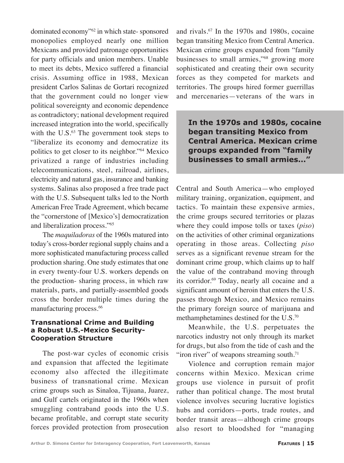dominated economy"62 in which state- sponsored monopolies employed nearly one million Mexicans and provided patronage opportunities for party officials and union members. Unable to meet its debts, Mexico suffered a financial crisis. Assuming office in 1988, Mexican president Carlos Salinas de Gortari recognized that the government could no longer view political sovereignty and economic dependence as contradictory; national development required increased integration into the world, specifically with the  $U.S.^63$  The government took steps to "liberalize its economy and democratize its politics to get closer to its neighbor."64 Mexico privatized a range of industries including telecommunications, steel, railroad, airlines, electricity and natural gas, insurance and banking systems. Salinas also proposed a free trade pact with the U.S. Subsequent talks led to the North American Free Trade Agreement, which became the "cornerstone of [Mexico's] democratization and liberalization process."65

The *maquiladoras* of the 1960s matured into today's cross-border regional supply chains and a more sophisticated manufacturing process called production sharing. One study estimates that one in every twenty-four U.S. workers depends on the production- sharing process, in which raw materials, parts, and partially-assembled goods cross the border multiple times during the manufacturing process.<sup>66</sup>

#### **Transnational Crime and Building a Robust U.S.-Mexico Security-Cooperation Structure**

The post-war cycles of economic crisis and expansion that affected the legitimate economy also affected the illegitimate business of transnational crime. Mexican crime groups such as Sinaloa, Tijuana, Juarez, and Gulf cartels originated in the 1960s when smuggling contraband goods into the U.S. became profitable, and corrupt state security forces provided protection from prosecution and rivals.67 In the 1970s and 1980s, cocaine began transiting Mexico from Central America. Mexican crime groups expanded from "family businesses to small armies,"68 growing more sophisticated and creating their own security forces as they competed for markets and territories. The groups hired former guerrillas and mercenaries—veterans of the wars in

**In the 1970s and 1980s, cocaine began transiting Mexico from Central America. Mexican crime groups expanded from "family businesses to small armies..."**

Central and South America—who employed military training, organization, equipment, and tactics. To maintain these expensive armies, the crime groups secured territories or plazas where they could impose tolls or taxes (*piso*) on the activities of other criminal organizations operating in those areas. Collecting *piso* serves as a significant revenue stream for the dominant crime group, which claims up to half the value of the contraband moving through its corridor.<sup>69</sup> Today, nearly all cocaine and a significant amount of heroin that enters the U.S. passes through Mexico, and Mexico remains the primary foreign source of marijuana and methamphetamines destined for the U.S.70

Meanwhile, the U.S. perpetuates the narcotics industry not only through its market for drugs, but also from the tide of cash and the "iron river" of weapons streaming south. $71$ 

Violence and corruption remain major concerns within Mexico. Mexican crime groups use violence in pursuit of profit rather than political change. The most brutal violence involves securing lucrative logistics hubs and corridors—ports, trade routes, and border transit areas—although crime groups also resort to bloodshed for "managing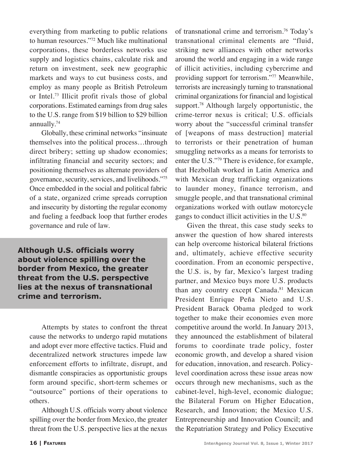everything from marketing to public relations to human resources."72 Much like multinational corporations, these borderless networks use supply and logistics chains, calculate risk and return on investment, seek new geographic markets and ways to cut business costs, and employ as many people as British Petroleum or Intel.73 Illicit profit rivals those of global corporations. Estimated earnings from drug sales to the U.S. range from \$19 billion to \$29 billion annually.74

Globally, these criminal networks "insinuate themselves into the political process…through direct bribery; setting up shadow economies; infiltrating financial and security sectors; and positioning themselves as alternate providers of governance, security, services, and livelihoods."75 Once embedded in the social and political fabric of a state, organized crime spreads corruption and insecurity by distorting the regular economy and fueling a feedback loop that further erodes governance and rule of law.

**Although U.S. officials worry about violence spilling over the border from Mexico, the greater threat from the U.S. perspective lies at the nexus of transnational crime and terrorism.**

Attempts by states to confront the threat cause the networks to undergo rapid mutations and adopt ever more effective tactics. Fluid and decentralized network structures impede law enforcement efforts to infiltrate, disrupt, and dismantle conspiracies as opportunistic groups form around specific, short-term schemes or "outsource" portions of their operations to others.

Although U.S. officials worry about violence spilling over the border from Mexico, the greater threat from the U.S. perspective lies at the nexus

of transnational crime and terrorism.76 Today's transnational criminal elements are "fluid, striking new alliances with other networks around the world and engaging in a wide range of illicit activities, including cybercrime and providing support for terrorism."77 Meanwhile, terrorists are increasingly turning to transnational criminal organizations for financial and logistical support.<sup>78</sup> Although largely opportunistic, the crime-terror nexus is critical; U.S. officials worry about the "successful criminal transfer of [weapons of mass destruction] material to terrorists or their penetration of human smuggling networks as a means for terrorists to enter the U.S."79 There is evidence, for example, that Hezbollah worked in Latin America and with Mexican drug trafficking organizations to launder money, finance terrorism, and smuggle people, and that transnational criminal organizations worked with outlaw motorcycle gangs to conduct illicit activities in the U.S.<sup>80</sup>

Given the threat, this case study seeks to answer the question of how shared interests can help overcome historical bilateral frictions and, ultimately, achieve effective security coordination. From an economic perspective, the U.S. is, by far, Mexico's largest trading partner, and Mexico buys more U.S. products than any country except Canada.<sup>81</sup> Mexican President Enrique Peña Nieto and U.S. President Barack Obama pledged to work together to make their economies even more competitive around the world. In January 2013, they announced the establishment of bilateral forums to coordinate trade policy, foster economic growth, and develop a shared vision for education, innovation, and research. Policylevel coordination across these issue areas now occurs through new mechanisms, such as the cabinet-level, high-level, economic dialogue; the Bilateral Forum on Higher Education, Research, and Innovation; the Mexico U.S. Entrepreneurship and Innovation Council; and the Repatriation Strategy and Policy Executive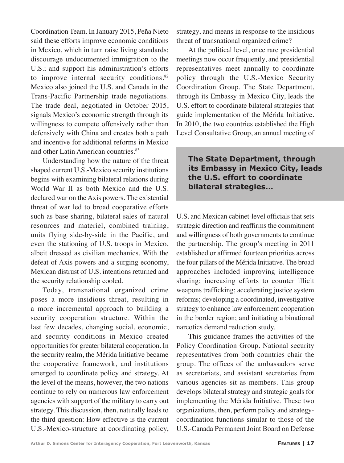Coordination Team. In January 2015, Peña Nieto said these efforts improve economic conditions in Mexico, which in turn raise living standards; discourage undocumented immigration to the U.S.; and support his administration's efforts to improve internal security conditions.<sup>82</sup> Mexico also joined the U.S. and Canada in the Trans-Pacific Partnership trade negotiations. The trade deal, negotiated in October 2015, signals Mexico's economic strength through its willingness to compete offensively rather than defensively with China and creates both a path and incentive for additional reforms in Mexico and other Latin American countries.<sup>83</sup>

Understanding how the nature of the threat shaped current U.S.-Mexico security institutions begins with examining bilateral relations during World War II as both Mexico and the U.S. declared war on the Axis powers. The existential threat of war led to broad cooperative efforts such as base sharing, bilateral sales of natural resources and materiel, combined training, units flying side-by-side in the Pacific, and even the stationing of U.S. troops in Mexico, albeit dressed as civilian mechanics. With the defeat of Axis powers and a surging economy, Mexican distrust of U.S. intentions returned and the security relationship cooled.

Today, transnational organized crime poses a more insidious threat, resulting in a more incremental approach to building a security cooperation structure. Within the last few decades, changing social, economic, and security conditions in Mexico created opportunities for greater bilateral cooperation. In the security realm, the Mérida Initiative became the cooperative framework, and institutions emerged to coordinate policy and strategy. At the level of the means, however, the two nations continue to rely on numerous law enforcement agencies with support of the military to carry out strategy. This discussion, then, naturally leads to the third question: How effective is the current U.S.-Mexico-structure at coordinating policy, strategy, and means in response to the insidious threat of transnational organized crime?

At the political level, once rare presidential meetings now occur frequently, and presidential representatives meet annually to coordinate policy through the U.S.-Mexico Security Coordination Group. The State Department, through its Embassy in Mexico City, leads the U.S. effort to coordinate bilateral strategies that guide implementation of the Mérida Initiative. In 2010, the two countries established the High Level Consultative Group, an annual meeting of

## **The State Department, through its Embassy in Mexico City, leads the U.S. effort to coordinate bilateral strategies...**

U.S. and Mexican cabinet-level officials that sets strategic direction and reaffirms the commitment and willingness of both governments to continue the partnership. The group's meeting in 2011 established or affirmed fourteen priorities across the four pillars of the Mérida Initiative. The broad approaches included improving intelligence sharing; increasing efforts to counter illicit weapons trafficking; accelerating justice system reforms; developing a coordinated, investigative strategy to enhance law enforcement cooperation in the border region; and initiating a binational narcotics demand reduction study.

This guidance frames the activities of the Policy Coordination Group. National security representatives from both countries chair the group. The offices of the ambassadors serve as secretariats, and assistant secretaries from various agencies sit as members. This group develops bilateral strategy and strategic goals for implementing the Mérida Initiative. These two organizations, then, perform policy and strategycoordination functions similar to those of the U.S.-Canada Permanent Joint Board on Defense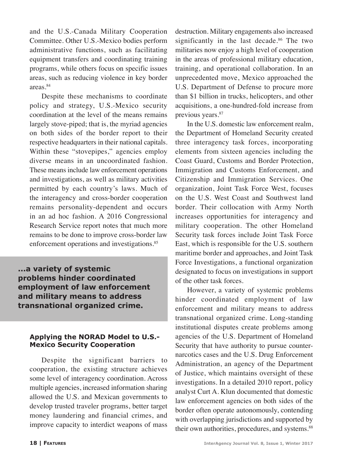and the U.S.-Canada Military Cooperation Committee. Other U.S.-Mexico bodies perform administrative functions, such as facilitating equipment transfers and coordinating training programs, while others focus on specific issues areas, such as reducing violence in key border areas.84

Despite these mechanisms to coordinate policy and strategy, U.S.-Mexico security coordination at the level of the means remains largely stove-piped; that is, the myriad agencies on both sides of the border report to their respective headquarters in their national capitals. Within these "stovepipes," agencies employ diverse means in an uncoordinated fashion. These means include law enforcement operations and investigations, as well as military activities permitted by each country's laws. Much of the interagency and cross-border cooperation remains personality-dependent and occurs in an ad hoc fashion. A 2016 Congressional Research Service report notes that much more remains to be done to improve cross-border law enforcement operations and investigations.<sup>85</sup>

**...a variety of systemic problems hinder coordinated employment of law enforcement and military means to address transnational organized crime.**

#### **Applying the NORAD Model to U.S.- Mexico Security Cooperation**

Despite the significant barriers to cooperation, the existing structure achieves some level of interagency coordination. Across multiple agencies, increased information sharing allowed the U.S. and Mexican governments to develop trusted traveler programs, better target money laundering and financial crimes, and improve capacity to interdict weapons of mass destruction. Military engagements also increased significantly in the last decade.<sup>86</sup> The two militaries now enjoy a high level of cooperation in the areas of professional military education, training, and operational collaboration. In an unprecedented move, Mexico approached the U.S. Department of Defense to procure more than \$1 billion in trucks, helicopters, and other acquisitions, a one-hundred-fold increase from previous years.<sup>87</sup>

In the U.S. domestic law enforcement realm, the Department of Homeland Security created three interagency task forces, incorporating elements from sixteen agencies including the Coast Guard, Customs and Border Protection, Immigration and Customs Enforcement, and Citizenship and Immigration Services. One organization, Joint Task Force West, focuses on the U.S. West Coast and Southwest land border. Their collocation with Army North increases opportunities for interagency and military cooperation. The other Homeland Security task forces include Joint Task Force East, which is responsible for the U.S. southern maritime border and approaches, and Joint Task Force Investigations, a functional organization designated to focus on investigations in support of the other task forces.

However, a variety of systemic problems hinder coordinated employment of law enforcement and military means to address transnational organized crime. Long-standing institutional disputes create problems among agencies of the U.S. Department of Homeland Security that have authority to pursue counternarcotics cases and the U.S. Drug Enforcement Administration, an agency of the Department of Justice, which maintains oversight of these investigations. In a detailed 2010 report, policy analyst Curt A. Klun documented that domestic law enforcement agencies on both sides of the border often operate autonomously, contending with overlapping jurisdictions and supported by their own authorities, procedures, and systems.<sup>88</sup>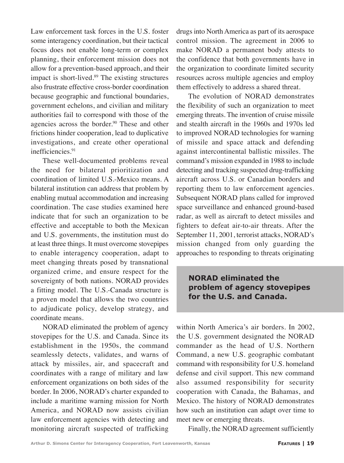Law enforcement task forces in the U.S. foster some interagency coordination, but their tactical focus does not enable long-term or complex planning, their enforcement mission does not allow for a prevention-based approach, and their impact is short-lived.<sup>89</sup> The existing structures also frustrate effective cross-border coordination because geographic and functional boundaries, government echelons, and civilian and military authorities fail to correspond with those of the agencies across the border.<sup>90</sup> These and other frictions hinder cooperation, lead to duplicative investigations, and create other operational inefficiencies.91

These well-documented problems reveal the need for bilateral prioritization and coordination of limited U.S.-Mexico means. A bilateral institution can address that problem by enabling mutual accommodation and increasing coordination. The case studies examined here indicate that for such an organization to be effective and acceptable to both the Mexican and U.S. governments, the institution must do at least three things. It must overcome stovepipes to enable interagency cooperation, adapt to meet changing threats posed by transnational organized crime, and ensure respect for the sovereignty of both nations. NORAD provides a fitting model. The U.S.-Canada structure is a proven model that allows the two countries to adjudicate policy, develop strategy, and coordinate means.

NORAD eliminated the problem of agency stovepipes for the U.S. and Canada. Since its establishment in the 1950s, the command seamlessly detects, validates, and warns of attack by missiles, air, and spacecraft and coordinates with a range of military and law enforcement organizations on both sides of the border. In 2006, NORAD's charter expanded to include a maritime warning mission for North America, and NORAD now assists civilian law enforcement agencies with detecting and monitoring aircraft suspected of trafficking drugs into North America as part of its aerospace control mission. The agreement in 2006 to make NORAD a permanent body attests to the confidence that both governments have in the organization to coordinate limited security resources across multiple agencies and employ them effectively to address a shared threat.

The evolution of NORAD demonstrates the flexibility of such an organization to meet emerging threats. The invention of cruise missile and stealth aircraft in the 1960s and 1970s led to improved NORAD technologies for warning of missile and space attack and defending against intercontinental ballistic missiles. The command's mission expanded in 1988 to include detecting and tracking suspected drug-trafficking aircraft across U.S. or Canadian borders and reporting them to law enforcement agencies. Subsequent NORAD plans called for improved space surveillance and enhanced ground-based radar, as well as aircraft to detect missiles and fighters to defeat air-to-air threats. After the September 11, 2001, terrorist attacks, NORAD's mission changed from only guarding the approaches to responding to threats originating

## **NORAD eliminated the problem of agency stovepipes for the U.S. and Canada.**

within North America's air borders. In 2002, the U.S. government designated the NORAD commander as the head of U.S. Northern Command, a new U.S. geographic combatant command with responsibility for U.S. homeland defense and civil support. This new command also assumed responsibility for security cooperation with Canada, the Bahamas, and Mexico. The history of NORAD demonstrates how such an institution can adapt over time to meet new or emerging threats.

Finally, the NORAD agreement sufficiently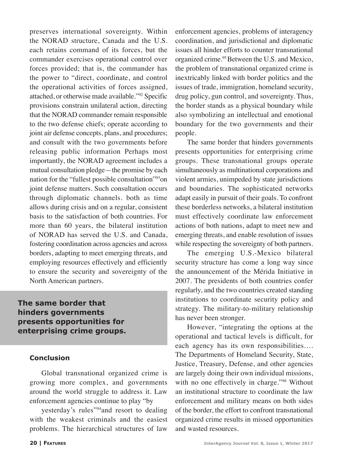preserves international sovereignty. Within the NORAD structure, Canada and the U.S. each retains command of its forces, but the commander exercises operational control over forces provided; that is, the commander has the power to "direct, coordinate, and control the operational activities of forces assigned, attached, or otherwise made available."92 Specific provisions constrain unilateral action, directing that the NORAD commander remain responsible to the two defense chiefs; operate according to joint air defense concepts, plans, and procedures; and consult with the two governments before releasing public information Perhaps most importantly, the NORAD agreement includes a mutual consultation pledge—the promise by each nation for the "fullest possible consultation"93on joint defense matters. Such consultation occurs through diplomatic channels. both as time allows during crisis and on a regular, consistent basis to the satisfaction of both countries. For more than 60 years, the bilateral institution of NORAD has served the U.S. and Canada, fostering coordination across agencies and across borders, adapting to meet emerging threats, and employing resources effectively and efficiently to ensure the security and sovereignty of the North American partners.

**The same border that hinders governments presents opportunities for enterprising crime groups.**

#### **Conclusion**

Global transnational organized crime is growing more complex, and governments around the world struggle to address it. Law enforcement agencies continue to play "by

yesterday's rules"94and resort to dealing with the weakest criminals and the easiest problems. The hierarchical structures of law

enforcement agencies, problems of interagency coordination, and jurisdictional and diplomatic issues all hinder efforts to counter transnational organized crime.<sup>95</sup> Between the U.S. and Mexico, the problem of transnational organized crime is inextricably linked with border politics and the issues of trade, immigration, homeland security, drug policy, gun control, and sovereignty. Thus, the border stands as a physical boundary while also symbolizing an intellectual and emotional boundary for the two governments and their people.

The same border that hinders governments presents opportunities for enterprising crime groups. These transnational groups operate simultaneously as multinational corporations and violent armies, unimpeded by state jurisdictions and boundaries. The sophisticated networks adapt easily in pursuit of their goals. To confront these borderless networks, a bilateral institution must effectively coordinate law enforcement actions of both nations, adapt to meet new and emerging threats, and enable resolution of issues while respecting the sovereignty of both partners.

The emerging U.S.-Mexico bilateral security structure has come a long way since the announcement of the Mérida Initiative in 2007. The presidents of both countries confer regularly, and the two countries created standing institutions to coordinate security policy and strategy. The military-to-military relationship has never been stronger.

However, "integrating the options at the operational and tactical levels is difficult, for each agency has its own responsibilities…. The Departments of Homeland Security, State, Justice, Treasury, Defense, and other agencies are largely doing their own individual missions, with no one effectively in charge."96 Without an institutional structure to coordinate the law enforcement and military means on both sides of the border, the effort to confront transnational organized crime results in missed opportunities and wasted resources.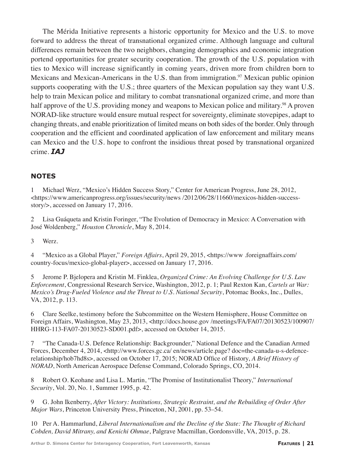The Mérida Initiative represents a historic opportunity for Mexico and the U.S. to move forward to address the threat of transnational organized crime. Although language and cultural differences remain between the two neighbors, changing demographics and economic integration portend opportunities for greater security cooperation. The growth of the U.S. population with ties to Mexico will increase significantly in coming years, driven more from children born to Mexicans and Mexican-Americans in the U.S. than from immigration.<sup>97</sup> Mexican public opinion supports cooperating with the U.S.; three quarters of the Mexican population say they want U.S. help to train Mexican police and military to combat transnational organized crime, and more than half approve of the U.S. providing money and weapons to Mexican police and military.<sup>98</sup> A proven NORAD-like structure would ensure mutual respect for sovereignty, eliminate stovepipes, adapt to changing threats, and enable prioritization of limited means on both sides of the border. Only through cooperation and the efficient and coordinated application of law enforcement and military means can Mexico and the U.S. hope to confront the insidious threat posed by transnational organized crime. *IAJ*

#### **NOTES**

1 Michael Werz, "Mexico's Hidden Success Story," Center for American Progress, June 28, 2012,  $\lt$ https://www.americanprogress.org/issues/security/news /2012/06/28/11660/mexicos-hidden-successstory/>, accessed on January 17, 2016.

2 Lisa Guáqueta and Kristin Foringer, "The Evolution of Democracy in Mexico: A Conversation with José Woldenberg," *Houston Chronicle*, May 8, 2014.

3 Werz.

4 "Mexico as a Global Player," *Foreign Affairs*, April 29, 2015, <https://www .foreignaffairs.com/ country-focus/mexico-global-player>, accessed on January 17, 2016.

5 Jerome P. Bjelopera and Kristin M. Finklea, *Organized Crime: An Evolving Challenge for U.S. Law Enforcement*, Congressional Research Service, Washington, 2012, p. 1; Paul Rexton Kan, *Cartels at War: Mexico's Drug-Fueled Violence and the Threat to U.S. National Security*, Potomac Books, Inc., Dulles, VA, 2012, p. 113.

6 Clare Seelke, testimony before the Subcommittee on the Western Hemisphere, House Committee on Foreign Affairs, Washington, May 23, 2013, <http://docs.house.gov /meetings/FA/FA07/20130523/100907/ HHRG-113-FA07-20130523-SD001.pdf>, accessed on October 14, 2015.

7 "The Canada-U.S. Defence Relationship: Backgrounder," National Defence and the Canadian Armed Forces, December 4, 2014, <http://www.forces.gc.ca/ en/news/article.page? doc=the-canada-u-s-defencerelationship/hob7hd8s>, accessed on October 17, 2015; NORAD Office of History, *A Brief History of NORAD*, North American Aerospace Defense Command, Colorado Springs, CO, 2014.

8 Robert O. Keohane and Lisa L. Martin, "The Promise of Institutionalist Theory," *International Security*, Vol. 20, No. 1, Summer 1995, p. 42.

9 G. John Ikenberry, *After Victory: Institutions, Strategic Restraint, and the Rebuilding of Order After Major Wars*, Princeton University Press, Princeton, NJ, 2001, pp. 53–54.

10 Per A. Hammarlund, *Liberal Internationalism and the Decline of the State: The Thought of Richard Cobden, David Mitrany, and Kenichi Ohmae*, Palgrave Macmillan, Gordonsville, VA, 2015, p. 28.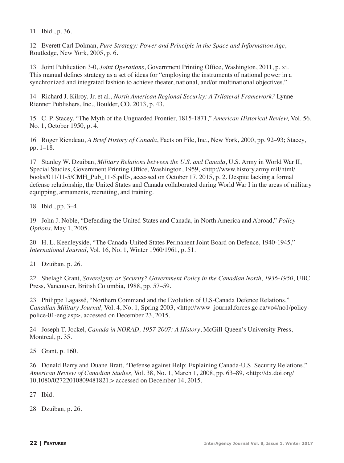11 Ibid., p. 36.

12 Everett Carl Dolman, *Pure Strategy: Power and Principle in the Space and Information Age*, Routledge, New York, 2005, p. 6.

13 Joint Publication 3-0, *Joint Operations*, Government Printing Office, Washington, 2011, p. xi. This manual defines strategy as a set of ideas for "employing the instruments of national power in a synchronized and integrated fashion to achieve theater, national, and/or multinational objectives."

14 Richard J. Kilroy, Jr. et al., *North American Regional Security: A Trilateral Framework?* Lynne Rienner Publishers, Inc., Boulder, CO, 2013, p. 43.

15 C. P. Stacey, "The Myth of the Unguarded Frontier, 1815-1871," *American Historical Review,* Vol. 56, No. 1, October 1950, p. 4.

16 Roger Riendeau, *A Brief History of Canada*, Facts on File, Inc., New York, 2000, pp. 92–93; Stacey, pp. 1–18.

17 Stanley W. Dzuiban, *Military Relations between the U.S. and Canada*, U.S. Army in World War II, Special Studies, Government Printing Office, Washington, 1959, <http://www.history.army.mil/html/ books/011/11-5/CMH\_Pub\_11-5.pdf>, accessed on October 17, 2015, p. 2. Despite lacking a formal defense relationship, the United States and Canada collaborated during World War I in the areas of military equipping, armaments, recruiting, and training.

18 Ibid., pp. 3–4.

19 John J. Noble, "Defending the United States and Canada, in North America and Abroad," *Policy Options*, May 1, 2005.

20 H. L. Keenleyside, "The Canada-United States Permanent Joint Board on Defence, 1940-1945," *International Journal*, Vol. 16, No. 1, Winter 1960/1961, p. 51.

21 Dzuiban, p. 26.

22 Shelagh Grant, *Sovereignty or Security? Government Policy in the Canadian North, 1936-1950*, UBC Press, Vancouver, British Columbia, 1988, pp. 57–59.

23 Philippe Lagassé, "Northern Command and the Evolution of U.S-Canada Defence Relations," *Canadian Military Journal,* Vol. 4, No. 1, Spring 2003, <http://www .journal.forces.gc.ca/vo4/no1/policypolice-01-eng.asp>, accessed on December 23, 2015.

24 Joseph T. Jockel, *Canada in NORAD, 1957-2007: A History*, McGill-Queen's University Press, Montreal, p. 35.

25 Grant, p. 160.

26 Donald Barry and Duane Bratt, "Defense against Help: Explaining Canada-U.S. Security Relations," *American Review of Canadian Studies,* Vol. 38, No. 1, March 1, 2008, pp. 63–89, <http://dx.doi.org/ 10.1080/02722010809481821,> accessed on December 14, 2015.

27 Ibid.

28 Dzuiban, p. 26.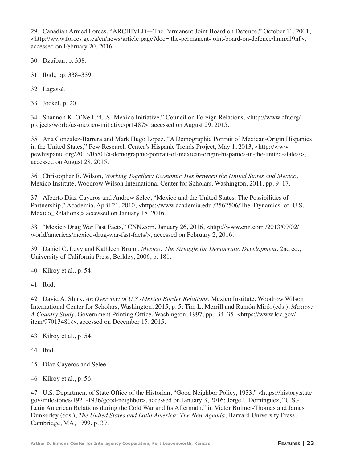29 Canadian Armed Forces, "ARCHIVED—The Permanent Joint Board on Defence," October 11, 2001, <http://www.forces.gc.ca/en/news/article.page?doc= the-permanent-joint-board-on-defence/hnmx19nf>, accessed on February 20, 2016.

- 30 Dzuiban, p. 338.
- 31 Ibid., pp. 338–339.
- 32 Lagassé.
- 33 Jockel, p. 20.

34 Shannon K. O'Neil, "U.S.-Mexico Initiative," Council on Foreign Relations, <http://www.cfr.org/ projects/world/us-mexico-initiative/pr1487>, accessed on August 29, 2015.

35 Ana Gonzalez-Barrera and Mark Hugo Lopez, "A Demographic Portrait of Mexican-Origin Hispanics in the United States," Pew Research Center's Hispanic Trends Project, May 1, 2013, <http://www. pewhispanic.org/2013/05/01/a-demographic-portrait-of-mexican-origin-hispanics-in-the-united-states/>, accessed on August 28, 2015.

36 Christopher E. Wilson, *Working Together: Economic Ties between the United States and Mexico,* Mexico Institute, Woodrow Wilson International Center for Scholars, Washington, 2011, pp. 9–17.

37 Alberto Díaz-Cayeros and Andrew Selee, "Mexico and the United States: The Possibilities of Partnership," Academia, April 21, 2010, <https://www.academia.edu /2562506/The\_Dynamics\_of\_U.S.-Mexico Relations, accessed on January 18, 2016.

38 "Mexico Drug War Fast Facts," CNN.com, January 26, 2016, <http://www.cnn.com /2013/09/02/ world/americas/mexico-drug-war-fast-facts/>, accessed on February 2, 2016.

39 Daniel C. Levy and Kathleen Bruhn, *Mexico: The Struggle for Democratic Development*, 2nd ed., University of California Press, Berkley, 2006, p. 181.

40 Kilroy et al., p. 54.

41 Ibid.

42 David A. Shirk, *An Overview of U.S.-Mexico Border Relations*, Mexico Institute, Woodrow Wilson International Center for Scholars, Washington, 2015, p. 5; Tim L. Merrill and Ramón Miró, (eds.), *Mexico: A Country Study*, Government Printing Office, Washington, 1997, pp. 34–35, <https://www.loc.gov/ item/97013481/>, accessed on December 15, 2015.

- 43 Kilroy et al., p. 54.
- 44 Ibid.
- 45 Díaz-Cayeros and Selee.
- 46 Kilroy et al., p. 56.

47 U.S. Department of State Office of the Historian, "Good Neighbor Policy, 1933," <https://history.state. gov/milestones/1921-1936/good-neighbor>, accessed on January 3, 2016; Jorge I. Domínguez, "U.S.- Latin American Relations during the Cold War and Its Aftermath," in Victor Bulmer-Thomas and James Dunkerley (eds.), *The United States and Latin America: The New Agenda*, Harvard University Press, Cambridge, MA, 1999, p. 39.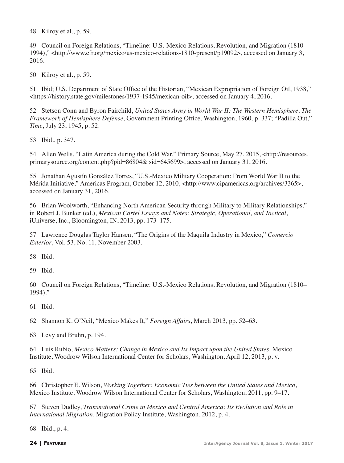48 Kilroy et al., p. 59.

49 Council on Foreign Relations, "Timeline: U.S.-Mexico Relations, Revolution, and Migration (1810– 1994)," <http://www.cfr.org/mexico/us-mexico-relations-1810-present/p19092>, accessed on January 3, 2016.

50 Kilroy et al., p. 59.

51 Ibid; U.S. Department of State Office of the Historian, "Mexican Expropriation of Foreign Oil, 1938," <https://history.state.gov/milestones/1937-1945/mexican-oil>, accessed on January 4, 2016.

52 Stetson Conn and Byron Fairchild, *United States Army in World War II: The Western Hemisphere. The Framework of Hemisphere Defense*, Government Printing Office, Washington, 1960, p. 337; "Padilla Out," *Time*, July 23, 1945, p. 52.

53 Ibid., p. 347.

54 Allen Wells, "Latin America during the Cold War," Primary Source, May 27, 2015, <http://resources. primarysource.org/content.php?pid=86804& sid=645699>, accessed on January 31, 2016.

55 Jonathan Agustín González Torres, "U.S.-Mexico Military Cooperation: From World War II to the Mérida Initiative," Americas Program, October 12, 2010, <http://www.cipamericas.org/archives/3365>, accessed on January 31, 2016.

56 Brian Woolworth, "Enhancing North American Security through Military to Military Relationships," in Robert J. Bunker (ed.), *Mexican Cartel Essays and Notes: Strategic, Operational, and Tactical*, iUniverse, Inc., Bloomington, IN, 2013, pp. 173–175.

57 Lawrence Douglas Taylor Hansen, "The Origins of the Maquila Industry in Mexico," *Comercio Exterior*, Vol. 53, No. 11, November 2003.

58 Ibid.

59 Ibid.

60 Council on Foreign Relations, "Timeline: U.S.-Mexico Relations, Revolution, and Migration (1810– 1994)."

61 Ibid.

62 Shannon K. O'Neil, "Mexico Makes It," *Foreign Affairs*, March 2013, pp. 52–63.

63 Levy and Bruhn, p. 194.

64 Luis Rubio, *Mexico Matters: Change in Mexico and Its Impact upon the United States,* Mexico Institute, Woodrow Wilson International Center for Scholars, Washington, April 12, 2013, p. v.

65 Ibid.

66 Christopher E. Wilson, *Working Together: Economic Ties between the United States and Mexico*, Mexico Institute, Woodrow Wilson International Center for Scholars, Washington, 2011, pp. 9–17.

67 Steven Dudley, *Transnational Crime in Mexico and Central America: Its Evolution and Role in International Migration*, Migration Policy Institute, Washington, 2012, p. 4.

68 Ibid., p. 4.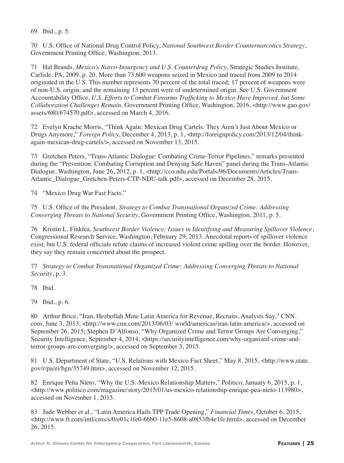69 Ibid., p. 5.

70 U.S. Office of National Drug Control Policy, *National Southwest Border Counternarcotics Strategy*, Government Printing Office, Washington, 2013.

71 Hal Brands, *Mexico's Narco-Insurgency and U.S. Counterdrug Policy*, Strategic Studies Institute, Carlisle, PA, 2009, p. 20. More than 73,600 weapons seized in Mexico and traced from 2009 to 2014 originated in the U.S. This number represents 70 percent of the total traced; 17 percent of weapons were of non-U.S. origin, and the remaining 13 percent were of undetermined origin. See U.S. Government Accountability Office, *U.S. Efforts to Combat Firearms Trafficking to Mexico Have Improved, but Some Collaboration Challenges Remain,* Government Printing Office, Washington, 2016, <http://www.gao.gov/ assets/680/674570.pdf>, accessed on March 4, 2016.

72 Evelyn Krache Morris, "Think Again: Mexican Drug Cartels: They Aren't Just About Mexico or Drugs Anymore," *Foreign Policy*, December 4, 2013, p. 1, <http://foreignpolicy.com/2013/12/04/thinkagain-mexican-drug-cartels/>, accessed on November 13, 2015.

73 Gretchen Peters, "Trans-Atlantic Dialogue: Combating Crime-Terror Pipelines," remarks presented during the "Prevention: Combating Corruption and Denying Safe Haven" panel during the Trans-Atlantic Dialogue, Washington, June 26, 2012, p. 1, <http://cco.ndu.edu/Portals/96/Documents/Articles/Trans-Atlantic\_Dialogue\_Gretchen-Peters-CTP-NDU-talk.pdf>, accessed on December 28, 2015.

74 "Mexico Drug War Fast Facts."

75 U.S. Office of the President, *Strategy to Combat Transnational Organized Crime: Addressing Converging Threats to National Security*, Government Printing Office, Washington, 2011, p. 5.

76 Kristin L. Finklea, *Southwest Border Violence: Issues in Identifying and Measuring Spillover Violence*, Congressional Research Service, Washington, February 29, 2013. Anecdotal reports of spillover violence exist, but U.S. federal officials refute claims of increased violent crime spilling over the border. However, they say they remain concerned about the prospect.

77 *Strategy to Combat Transnational Organized Crime: Addressing Converging Threats to National Security*, p. 3.

78 Ibid.

79 Ibid., p. 6.

80 Arthur Brice, "Iran, Hezbollah Mine Latin America for Revenue, Recruits, Analysts Say," CNN. com, June 3, 2013, <http://www.cnn.com/2013/06/03/ world/americas/iran-latin-america/>, accessed on September 26, 2015; Stephen D'Alfonso, "Why Organized Crime and Terror Groups Are Converging," Security Intelligence, September 4, 2014, <https://securityintelligence.com/why-organized-crime-andterror-groups-are-converging/>, accessed on September 3, 2015.

81 U.S. Department of State, "U.S. Relations with Mexico Fact Sheet," May 8, 2015, <http://www.state. gov/r/pa/ei/bgn/35749.htm>, accessed on November 12, 2015.

82 Enrique Peña Nieto, "Why the U.S.-Mexico Relationship Matters," Politico, January 6, 2015, p. 1,  $\lt$ http://www.politico.com/magazine/story/2015/01/us-mexico-relationship-enrique-pea-nieto-113980>, accessed on November 1, 2015.

83 Jude Webber et al., "Latin America Hails TPP Trade Opening," *Financial Times*, October 6, 2015, <http://www.ft.com/intl/cms/s/0/e01c1fe0-6bb0-11e5-8608-a0853fb4e1fe.html>, accessed on December 26, 2015.